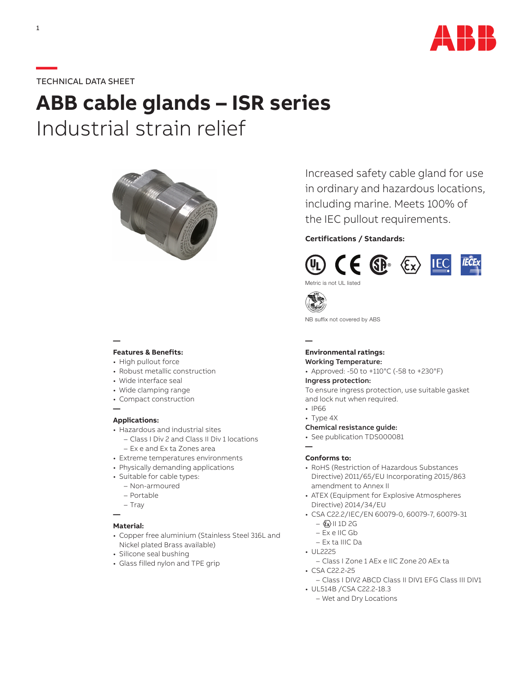

# **—**TECHNICAL DATA SHEET

# **ABB cable glands – ISR series** Industrial strain relief



# **—**

# **Features & Benefits:**

- High pullout force • Robust metallic construction
- 
- Wide interface seal
- Wide clamping range
- Compact construction

#### **Applications:**

**—**

- Hazardous and industrial sites
	- Class I Div 2 and Class II Div 1 locations – Ex e and Ex ta Zones area
- Extreme temperatures environments
- Physically demanding applications
- Suitable for cable types:
	- Non-armoured
	- Portable
	- Tray
- **—**

### **Material:**

- Copper free aluminium (Stainless Steel 316L and Nickel plated Brass available)
- Silicone seal bushing
- Glass filled nylon and TPE grip

Increased safety cable gland for use in ordinary and hazardous locations, including marine. Meets 100% of the IEC pullout requirements.

## **Certifications / Standards:**



Metric is not UL listed



NB suffix not covered by ABS

#### **— Environmental ratings:**

# Working Temperature:

• Approved: -50 to +110°C (-58 to +230°F)

#### Ingress protection:

To ensure ingress protection, use suitable gasket and lock nut when required.

- IP66
- Type 4X

## Chemical resistance guide:

- See publication TDS000081
- **—**

#### **Conforms to:**

- RoHS (Restriction of Hazardous Substances Directive) 2011/65/EU Incorporating 2015/863 amendment to Annex II
- ATEX (Equipment for Explosive Atmospheres Directive) 2014/34/EU
- CSA C22.2/IEC/EN 60079-0, 60079-7, 60079-31
	- $\langle x \rangle$  II 1D 2G
	- Ex e IIC Gb
	- Ex ta IIIC Da
- UL2225
	- Class I Zone 1 AEx e IIC Zone 20 AEx ta
- CSA C22.2-25
	- Class I DIV2 ABCD Class II DIV1 EFG Class III DIV1
- UL514B /CSA C22.2-18.3
	- Wet and Dry Locations